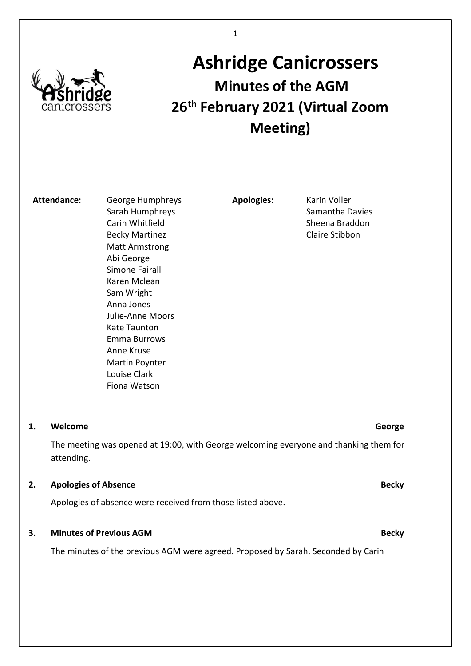

# Ashridge Canicrossers Minutes of the AGM 26<sup>th</sup> February 2021 (Virtual Zoom Meeting)

Attendance: George Humphreys Sarah Humphreys Carin Whitfield Becky Martinez Matt Armstrong Abi George Simone Fairall Karen Mclean Sam Wright Anna Jones Julie-Anne Moors Kate Taunton Emma Burrows Anne Kruse Martin Poynter Louise Clark Fiona Watson

Apologies: Karin Voller

Samantha Davies Sheena Braddon Claire Stibbon

#### 1. Welcome George George George George George George George

The meeting was opened at 19:00, with George welcoming everyone and thanking them for attending.

#### 2. Apologies of Absence **Becky**

Apologies of absence were received from those listed above.

### 3. Minutes of Previous AGM Becky and the contract of the Becky Becky Becky Becky

The minutes of the previous AGM were agreed. Proposed by Sarah. Seconded by Carin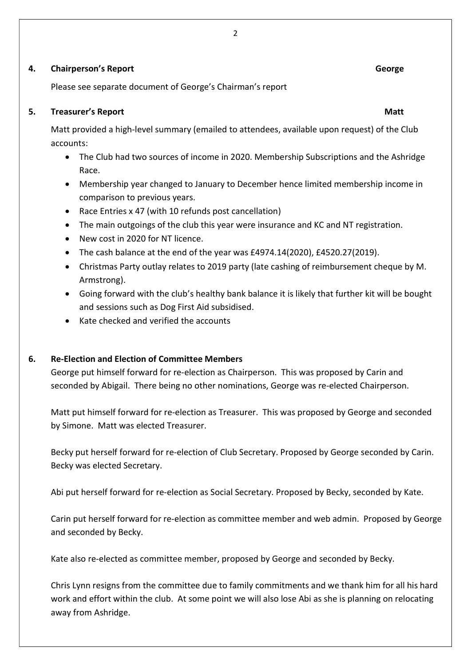#### 2

#### **4. Chairperson's Report George George Chairpers and Chairpers and Chairpers and Chairpers and Chairpers and Chairpers and Chairpers and Chairpers and Chairpers and Chairpers and Chairpers and Chairpers and Chairpers and C**

Please see separate document of George's Chairman's report

### 5. Treasurer's Report National Assembly of the Contract of the Matter of the Matt

Matt provided a high-level summary (emailed to attendees, available upon request) of the Club accounts:

- The Club had two sources of income in 2020. Membership Subscriptions and the Ashridge Race.
- Membership year changed to January to December hence limited membership income in comparison to previous years.
- Race Entries x 47 (with 10 refunds post cancellation)
- The main outgoings of the club this year were insurance and KC and NT registration.
- New cost in 2020 for NT licence.
- The cash balance at the end of the year was £4974.14(2020), £4520.27(2019).
- Christmas Party outlay relates to 2019 party (late cashing of reimbursement cheque by M. Armstrong).
- Going forward with the club's healthy bank balance it is likely that further kit will be bought and sessions such as Dog First Aid subsidised.
- Kate checked and verified the accounts

### 6. Re-Election and Election of Committee Members

George put himself forward for re-election as Chairperson. This was proposed by Carin and seconded by Abigail. There being no other nominations, George was re-elected Chairperson.

Matt put himself forward for re-election as Treasurer. This was proposed by George and seconded by Simone. Matt was elected Treasurer.

Becky put herself forward for re-election of Club Secretary. Proposed by George seconded by Carin. Becky was elected Secretary.

Abi put herself forward for re-election as Social Secretary. Proposed by Becky, seconded by Kate.

Carin put herself forward for re-election as committee member and web admin. Proposed by George and seconded by Becky.

Kate also re-elected as committee member, proposed by George and seconded by Becky.

Chris Lynn resigns from the committee due to family commitments and we thank him for all his hard work and effort within the club. At some point we will also lose Abi as she is planning on relocating away from Ashridge.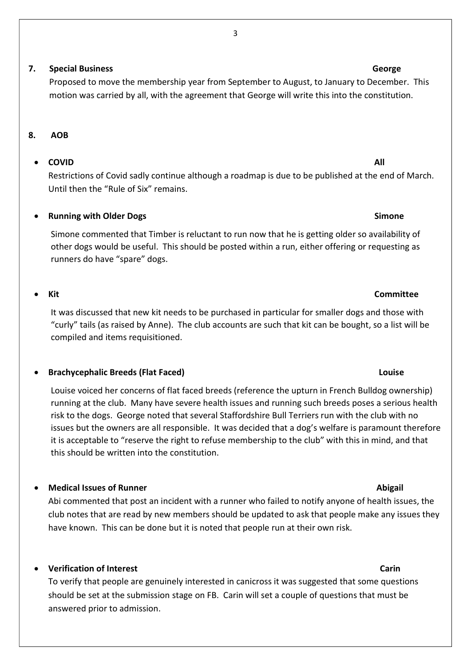3

### 7. Special Business George

Proposed to move the membership year from September to August, to January to December. This motion was carried by all, with the agreement that George will write this into the constitution.

#### 8. AOB

### • COVID All

Restrictions of Covid sadly continue although a roadmap is due to be published at the end of March. Until then the "Rule of Six" remains.

### Running with Older Dogs **Simone** Simone

Simone commented that Timber is reluctant to run now that he is getting older so availability of other dogs would be useful. This should be posted within a run, either offering or requesting as runners do have "spare" dogs.

#### Kit Committee

It was discussed that new kit needs to be purchased in particular for smaller dogs and those with "curly" tails (as raised by Anne). The club accounts are such that kit can be bought, so a list will be compiled and items requisitioned.

#### Brachycephalic Breeds (Flat Faced) Louise

Louise voiced her concerns of flat faced breeds (reference the upturn in French Bulldog ownership) running at the club. Many have severe health issues and running such breeds poses a serious health risk to the dogs. George noted that several Staffordshire Bull Terriers run with the club with no issues but the owners are all responsible. It was decided that a dog's welfare is paramount therefore it is acceptable to "reserve the right to refuse membership to the club" with this in mind, and that this should be written into the constitution.

#### • Medical Issues of Runner Abigail and Abigail and Abigail and Abigail and Abigail and Abigail and Abigail and Abigail and Abigail and Abigail and Abigail and Abigail and Abigail and Abigail and Abigail and Abigail and Abi

Abi commented that post an incident with a runner who failed to notify anyone of health issues, the club notes that are read by new members should be updated to ask that people make any issues they have known. This can be done but it is noted that people run at their own risk.

### Verification of Interest Carin

To verify that people are genuinely interested in canicross it was suggested that some questions should be set at the submission stage on FB. Carin will set a couple of questions that must be answered prior to admission.